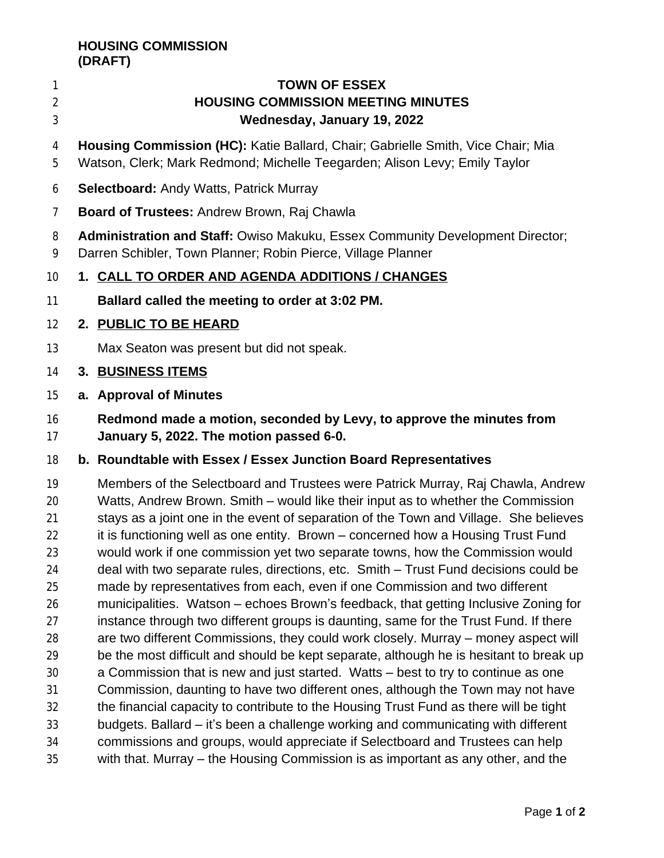### **HOUSING COMMISSION (DRAFT)**

## **TOWN OF ESSEX HOUSING COMMISSION MEETING MINUTES Wednesday, January 19, 2022**

- **Housing Commission (HC):** Katie Ballard, Chair; Gabrielle Smith, Vice Chair; Mia
- Watson, Clerk; Mark Redmond; Michelle Teegarden; Alison Levy; Emily Taylor
- **Selectboard:** Andy Watts, Patrick Murray
- **Board of Trustees:** Andrew Brown, Raj Chawla
- **Administration and Staff:** Owiso Makuku, Essex Community Development Director;
- Darren Schibler, Town Planner; Robin Pierce, Village Planner

# **1. CALL TO ORDER AND AGENDA ADDITIONS / CHANGES**

**Ballard called the meeting to order at 3:02 PM.**

# **2. PUBLIC TO BE HEARD**

Max Seaton was present but did not speak.

## **3. BUSINESS ITEMS**

**a. Approval of Minutes**

## **Redmond made a motion, seconded by Levy, to approve the minutes from January 5, 2022. The motion passed 6-0.**

# **b. Roundtable with Essex / Essex Junction Board Representatives**

 Members of the Selectboard and Trustees were Patrick Murray, Raj Chawla, Andrew Watts, Andrew Brown. Smith – would like their input as to whether the Commission 21 stays as a joint one in the event of separation of the Town and Village. She believes 22 it is functioning well as one entity. Brown – concerned how a Housing Trust Fund would work if one commission yet two separate towns, how the Commission would deal with two separate rules, directions, etc. Smith – Trust Fund decisions could be made by representatives from each, even if one Commission and two different municipalities. Watson – echoes Brown's feedback, that getting Inclusive Zoning for instance through two different groups is daunting, same for the Trust Fund. If there are two different Commissions, they could work closely. Murray – money aspect will be the most difficult and should be kept separate, although he is hesitant to break up a Commission that is new and just started. Watts – best to try to continue as one Commission, daunting to have two different ones, although the Town may not have the financial capacity to contribute to the Housing Trust Fund as there will be tight budgets. Ballard – it's been a challenge working and communicating with different commissions and groups, would appreciate if Selectboard and Trustees can help with that. Murray – the Housing Commission is as important as any other, and the